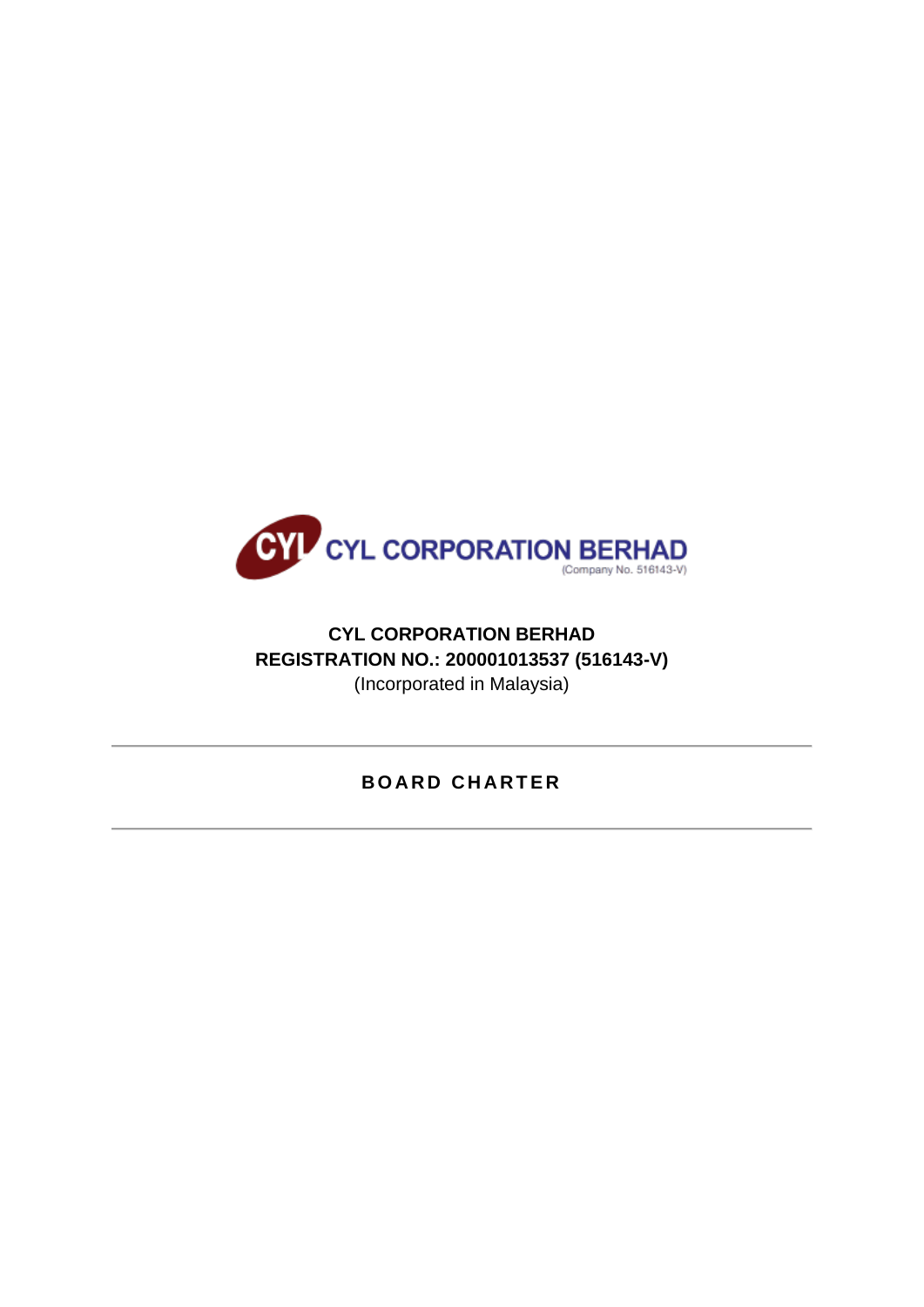

# **CYL CORPORATION BERHAD REGISTRATION NO.: 200001013537 (516143-V)** (Incorporated in Malaysia)

# **B O A R D C H A R T E R**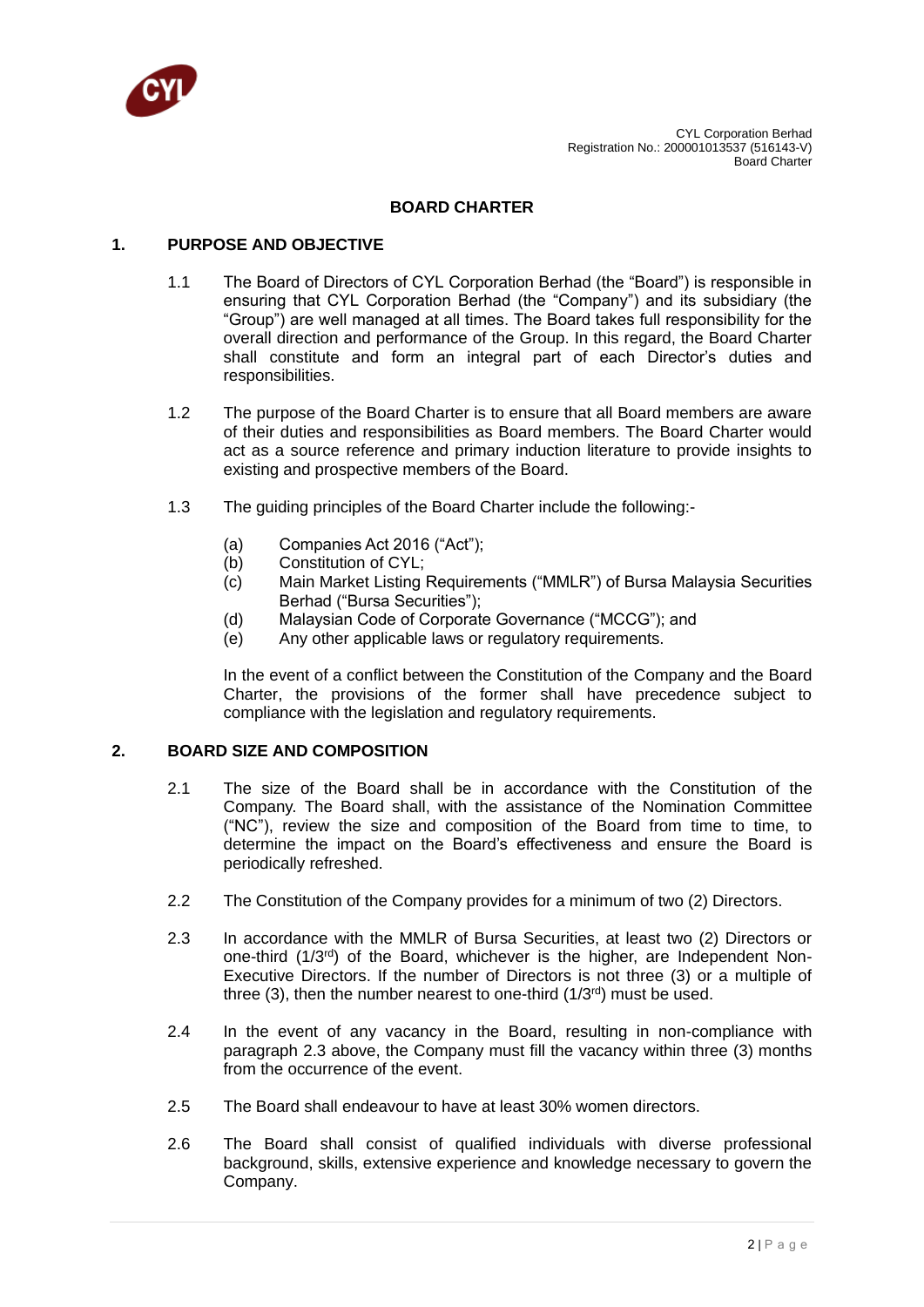

### **BOARD CHARTER**

#### **1. PURPOSE AND OBJECTIVE**

- 1.1 The Board of Directors of CYL Corporation Berhad (the "Board") is responsible in ensuring that CYL Corporation Berhad (the "Company") and its subsidiary (the "Group") are well managed at all times. The Board takes full responsibility for the overall direction and performance of the Group. In this regard, the Board Charter shall constitute and form an integral part of each Director's duties and responsibilities.
- 1.2 The purpose of the Board Charter is to ensure that all Board members are aware of their duties and responsibilities as Board members. The Board Charter would act as a source reference and primary induction literature to provide insights to existing and prospective members of the Board.
- 1.3 The guiding principles of the Board Charter include the following:-
	- (a) Companies Act 2016 ("Act");
	- (b) Constitution of CYL;
	- (c) Main Market Listing Requirements ("MMLR") of Bursa Malaysia Securities Berhad ("Bursa Securities");
	- (d) Malaysian Code of Corporate Governance ("MCCG"); and
	- (e) Any other applicable laws or regulatory requirements.

In the event of a conflict between the Constitution of the Company and the Board Charter, the provisions of the former shall have precedence subject to compliance with the legislation and regulatory requirements.

### **2. BOARD SIZE AND COMPOSITION**

- 2.1 The size of the Board shall be in accordance with the Constitution of the Company. The Board shall, with the assistance of the Nomination Committee ("NC"), review the size and composition of the Board from time to time, to determine the impact on the Board's effectiveness and ensure the Board is periodically refreshed.
- 2.2 The Constitution of the Company provides for a minimum of two (2) Directors.
- 2.3 In accordance with the MMLR of Bursa Securities, at least two (2) Directors or one-third (1/3rd) of the Board, whichever is the higher, are Independent Non-Executive Directors. If the number of Directors is not three (3) or a multiple of three (3), then the number nearest to one-third  $(1/3<sup>rd</sup>)$  must be used.
- 2.4 In the event of any vacancy in the Board, resulting in non-compliance with paragraph 2.3 above, the Company must fill the vacancy within three (3) months from the occurrence of the event.
- 2.5 The Board shall endeavour to have at least 30% women directors.
- 2.6 The Board shall consist of qualified individuals with diverse professional background, skills, extensive experience and knowledge necessary to govern the Company.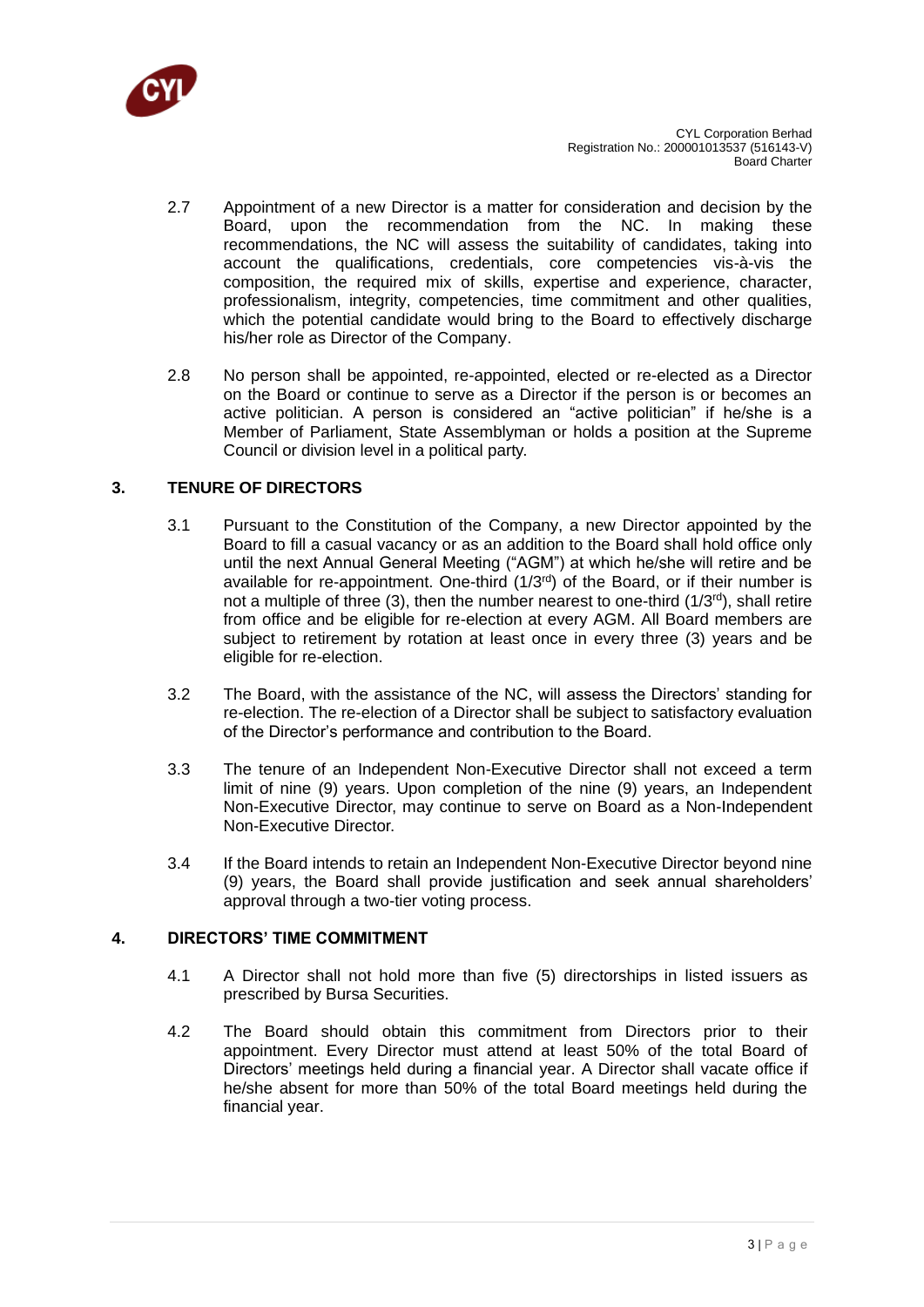

- 2.7 Appointment of a new Director is a matter for consideration and decision by the Board, upon the recommendation from the NC. In making these recommendations, the NC will assess the suitability of candidates, taking into account the qualifications, credentials, core competencies vis-à-vis the composition, the required mix of skills, expertise and experience, character, professionalism, integrity, competencies, time commitment and other qualities, which the potential candidate would bring to the Board to effectively discharge his/her role as Director of the Company.
- 2.8 No person shall be appointed, re-appointed, elected or re-elected as a Director on the Board or continue to serve as a Director if the person is or becomes an active politician. A person is considered an "active politician" if he/she is a Member of Parliament, State Assemblyman or holds a position at the Supreme Council or division level in a political party.

## **3. TENURE OF DIRECTORS**

- 3.1 Pursuant to the Constitution of the Company, a new Director appointed by the Board to fill a casual vacancy or as an addition to the Board shall hold office only until the next Annual General Meeting ("AGM") at which he/she will retire and be available for re-appointment. One-third (1/3rd) of the Board, or if their number is not a multiple of three (3), then the number nearest to one-third ( $1/3^{rd}$ ), shall retire from office and be eligible for re-election at every AGM. All Board members are subject to retirement by rotation at least once in every three (3) years and be eligible for re-election.
- 3.2 The Board, with the assistance of the NC, will assess the Directors' standing for re-election. The re-election of a Director shall be subject to satisfactory evaluation of the Director's performance and contribution to the Board.
- 3.3 The tenure of an Independent Non-Executive Director shall not exceed a term limit of nine (9) years. Upon completion of the nine (9) years, an Independent Non-Executive Director, may continue to serve on Board as a Non-Independent Non-Executive Director.
- 3.4 If the Board intends to retain an Independent Non-Executive Director beyond nine (9) years, the Board shall provide justification and seek annual shareholders' approval through a two-tier voting process.

### **4. DIRECTORS' TIME COMMITMENT**

- 4.1 A Director shall not hold more than five (5) directorships in listed issuers as prescribed by Bursa Securities.
- 4.2 The Board should obtain this commitment from Directors prior to their appointment. Every Director must attend at least 50% of the total Board of Directors' meetings held during a financial year. A Director shall vacate office if he/she absent for more than 50% of the total Board meetings held during the financial year.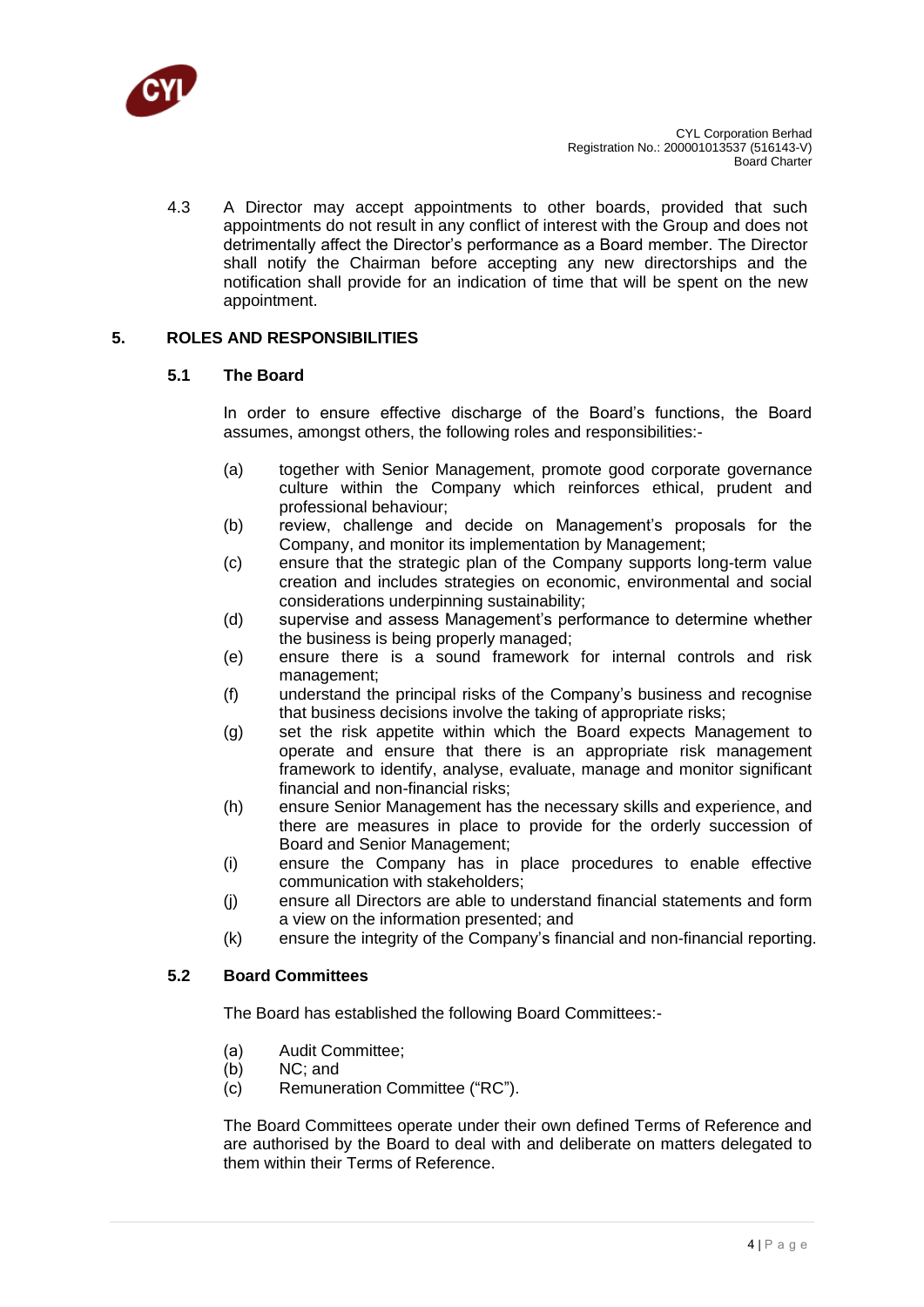

4.3 A Director may accept appointments to other boards, provided that such appointments do not result in any conflict of interest with the Group and does not detrimentally affect the Director's performance as a Board member. The Director shall notify the Chairman before accepting any new directorships and the notification shall provide for an indication of time that will be spent on the new appointment.

## **5. ROLES AND RESPONSIBILITIES**

### **5.1 The Board**

In order to ensure effective discharge of the Board's functions, the Board assumes, amongst others, the following roles and responsibilities:-

- (a) together with Senior Management, promote good corporate governance culture within the Company which reinforces ethical, prudent and professional behaviour;
- (b) review, challenge and decide on Management's proposals for the Company, and monitor its implementation by Management;
- (c) ensure that the strategic plan of the Company supports long-term value creation and includes strategies on economic, environmental and social considerations underpinning sustainability;
- (d) supervise and assess Management's performance to determine whether the business is being properly managed;
- (e) ensure there is a sound framework for internal controls and risk management;
- (f) understand the principal risks of the Company's business and recognise that business decisions involve the taking of appropriate risks;
- (g) set the risk appetite within which the Board expects Management to operate and ensure that there is an appropriate risk management framework to identify, analyse, evaluate, manage and monitor significant financial and non-financial risks;
- (h) ensure Senior Management has the necessary skills and experience, and there are measures in place to provide for the orderly succession of Board and Senior Management;
- (i) ensure the Company has in place procedures to enable effective communication with stakeholders;
- (j) ensure all Directors are able to understand financial statements and form a view on the information presented; and
- (k) ensure the integrity of the Company's financial and non-financial reporting.

### **5.2 Board Committees**

The Board has established the following Board Committees:-

- (a) Audit Committee;
- (b) NC; and
- (c) Remuneration Committee ("RC").

The Board Committees operate under their own defined Terms of Reference and are authorised by the Board to deal with and deliberate on matters delegated to them within their Terms of Reference.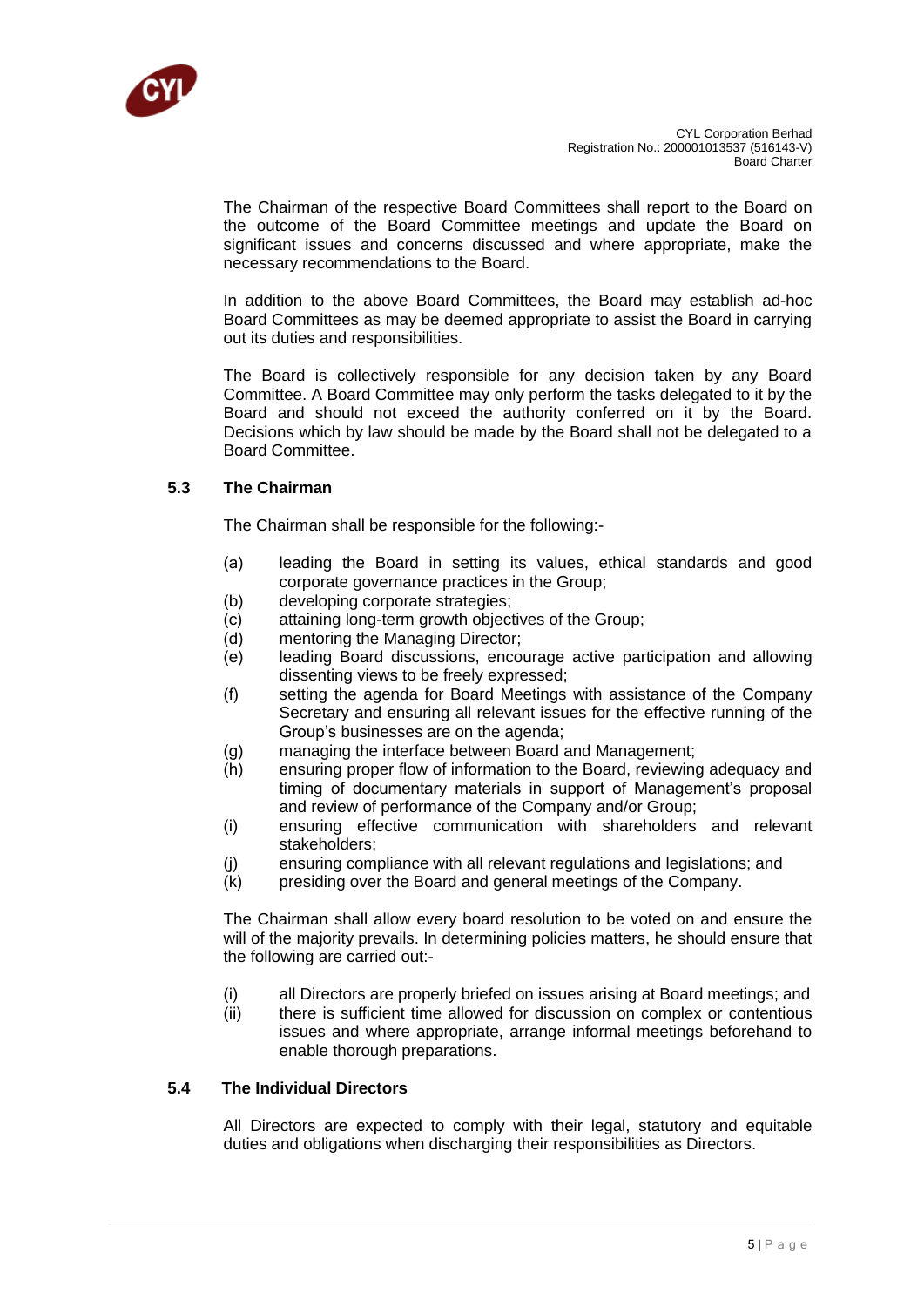

The Chairman of the respective Board Committees shall report to the Board on the outcome of the Board Committee meetings and update the Board on significant issues and concerns discussed and where appropriate, make the necessary recommendations to the Board.

In addition to the above Board Committees, the Board may establish ad-hoc Board Committees as may be deemed appropriate to assist the Board in carrying out its duties and responsibilities.

The Board is collectively responsible for any decision taken by any Board Committee. A Board Committee may only perform the tasks delegated to it by the Board and should not exceed the authority conferred on it by the Board. Decisions which by law should be made by the Board shall not be delegated to a Board Committee.

### **5.3 The Chairman**

The Chairman shall be responsible for the following:-

- (a) leading the Board in setting its values, ethical standards and good corporate governance practices in the Group;
- (b) developing corporate strategies;
- (c) attaining long-term growth objectives of the Group;
- (d) mentoring the Managing Director;
- (e) leading Board discussions, encourage active participation and allowing dissenting views to be freely expressed;
- (f) setting the agenda for Board Meetings with assistance of the Company Secretary and ensuring all relevant issues for the effective running of the Group's businesses are on the agenda;
- (g) managing the interface between Board and Management;
- (h) ensuring proper flow of information to the Board, reviewing adequacy and timing of documentary materials in support of Management's proposal and review of performance of the Company and/or Group;
- (i) ensuring effective communication with shareholders and relevant stakeholders;
- (j) ensuring compliance with all relevant regulations and legislations; and
- (k) presiding over the Board and general meetings of the Company.

The Chairman shall allow every board resolution to be voted on and ensure the will of the majority prevails. In determining policies matters, he should ensure that the following are carried out:-

- (i) all Directors are properly briefed on issues arising at Board meetings; and<br>(ii) there is sufficient time allowed for discussion on complex or contentious
- there is sufficient time allowed for discussion on complex or contentious issues and where appropriate, arrange informal meetings beforehand to enable thorough preparations.

### **5.4 The Individual Directors**

All Directors are expected to comply with their legal, statutory and equitable duties and obligations when discharging their responsibilities as Directors.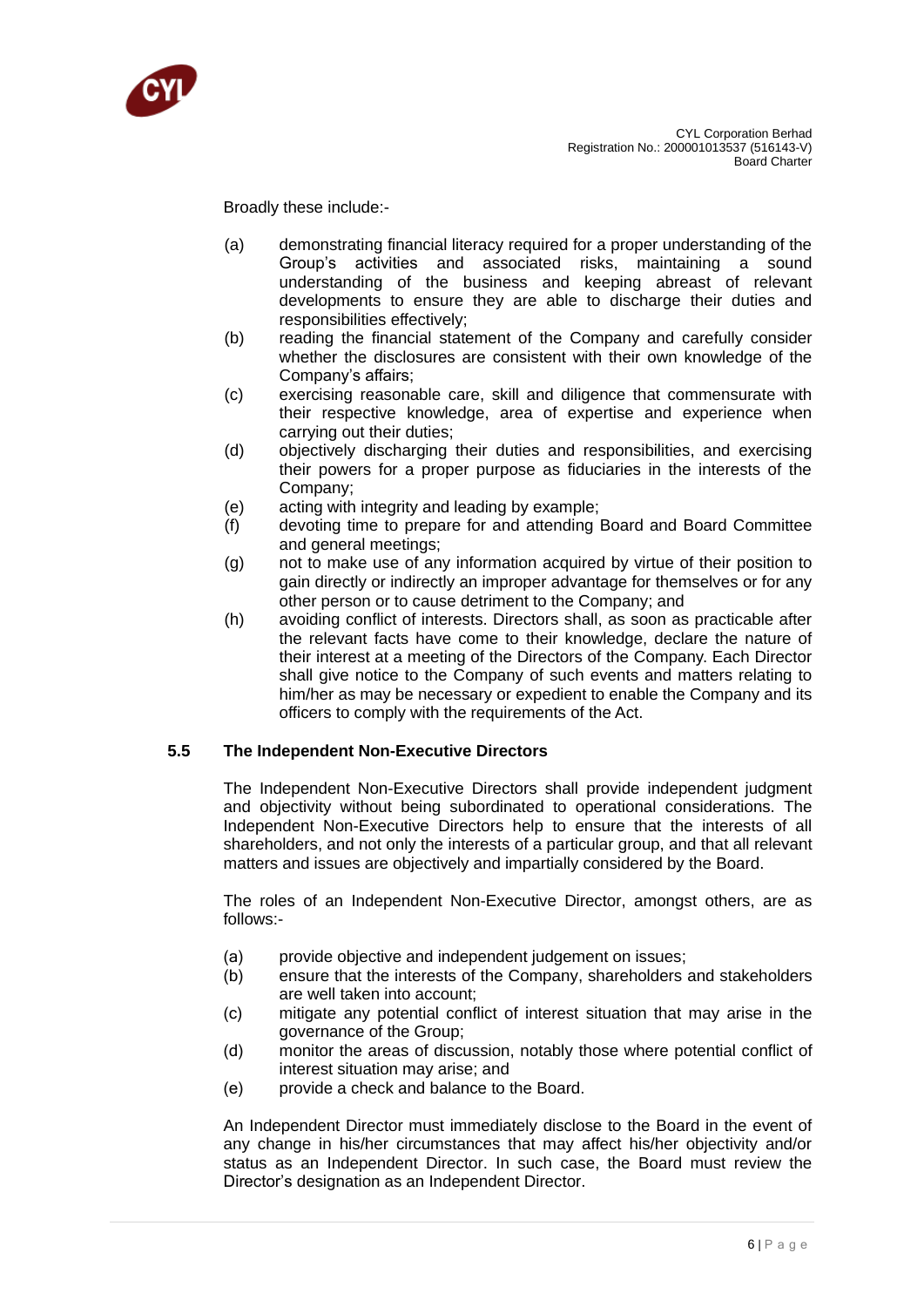

Broadly these include:-

- (a) demonstrating financial literacy required for a proper understanding of the Group's activities and associated risks, maintaining a sound understanding of the business and keeping abreast of relevant developments to ensure they are able to discharge their duties and responsibilities effectively;
- (b) reading the financial statement of the Company and carefully consider whether the disclosures are consistent with their own knowledge of the Company's affairs;
- (c) exercising reasonable care, skill and diligence that commensurate with their respective knowledge, area of expertise and experience when carrying out their duties;
- (d) objectively discharging their duties and responsibilities, and exercising their powers for a proper purpose as fiduciaries in the interests of the Company;
- (e) acting with integrity and leading by example;
- (f) devoting time to prepare for and attending Board and Board Committee and general meetings;
- (g) not to make use of any information acquired by virtue of their position to gain directly or indirectly an improper advantage for themselves or for any other person or to cause detriment to the Company; and
- (h) avoiding conflict of interests. Directors shall, as soon as practicable after the relevant facts have come to their knowledge, declare the nature of their interest at a meeting of the Directors of the Company. Each Director shall give notice to the Company of such events and matters relating to him/her as may be necessary or expedient to enable the Company and its officers to comply with the requirements of the Act.

### **5.5 The Independent Non-Executive Directors**

The Independent Non-Executive Directors shall provide independent judgment and objectivity without being subordinated to operational considerations. The Independent Non-Executive Directors help to ensure that the interests of all shareholders, and not only the interests of a particular group, and that all relevant matters and issues are objectively and impartially considered by the Board.

The roles of an Independent Non-Executive Director, amongst others, are as follows:-

- (a) provide objective and independent judgement on issues;
- (b) ensure that the interests of the Company, shareholders and stakeholders are well taken into account;
- (c) mitigate any potential conflict of interest situation that may arise in the governance of the Group;
- (d) monitor the areas of discussion, notably those where potential conflict of interest situation may arise; and
- (e) provide a check and balance to the Board.

An Independent Director must immediately disclose to the Board in the event of any change in his/her circumstances that may affect his/her objectivity and/or status as an Independent Director. In such case, the Board must review the Director's designation as an Independent Director.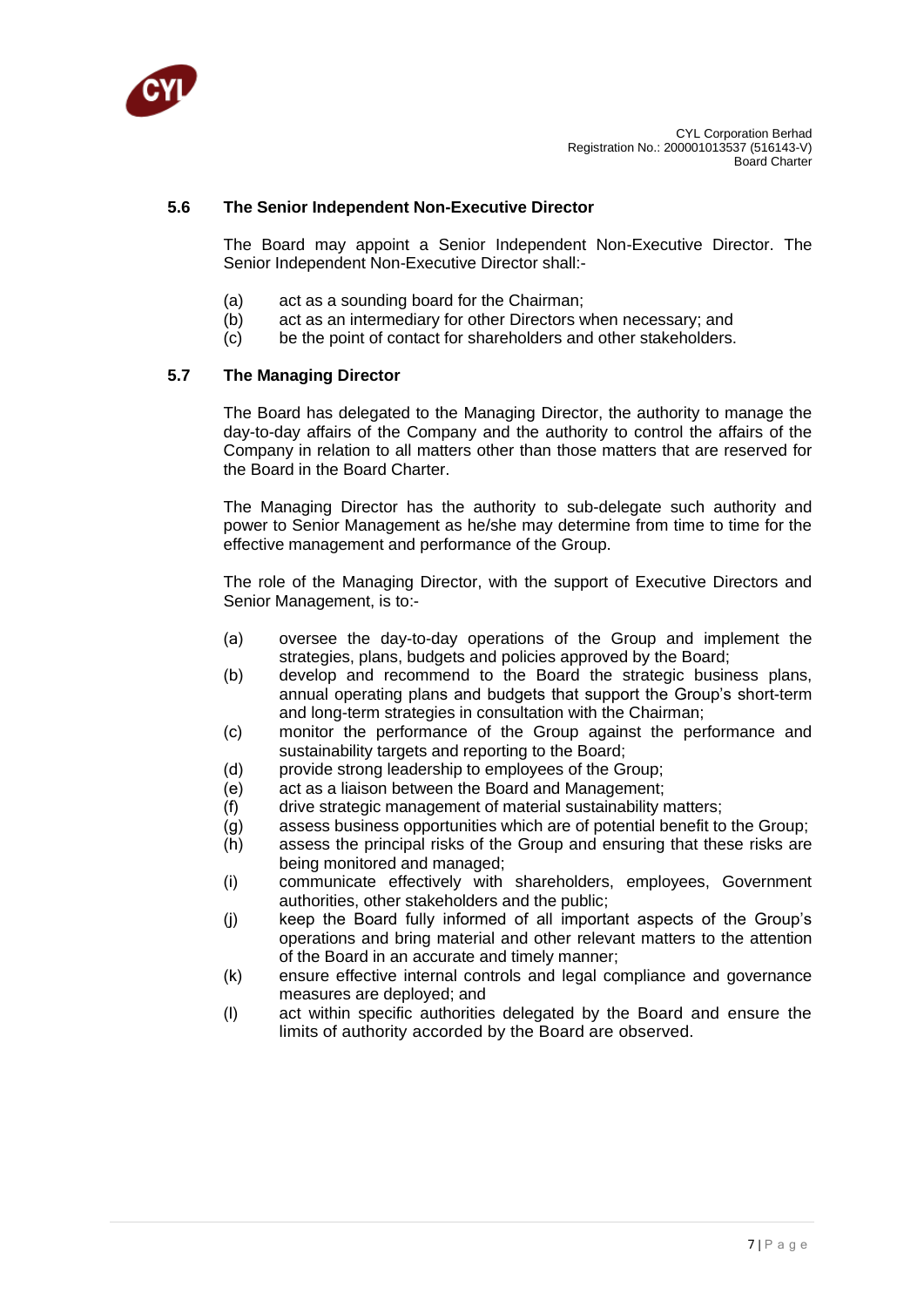

### **5.6 The Senior Independent Non-Executive Director**

The Board may appoint a Senior Independent Non-Executive Director. The Senior Independent Non-Executive Director shall:-

- (a) act as a sounding board for the Chairman;
- (b) act as an intermediary for other Directors when necessary; and
- (c) be the point of contact for shareholders and other stakeholders.

#### **5.7 The Managing Director**

The Board has delegated to the Managing Director, the authority to manage the day-to-day affairs of the Company and the authority to control the affairs of the Company in relation to all matters other than those matters that are reserved for the Board in the Board Charter.

The Managing Director has the authority to sub-delegate such authority and power to Senior Management as he/she may determine from time to time for the effective management and performance of the Group.

The role of the Managing Director, with the support of Executive Directors and Senior Management, is to:-

- (a) oversee the day-to-day operations of the Group and implement the strategies, plans, budgets and policies approved by the Board;
- (b) develop and recommend to the Board the strategic business plans, annual operating plans and budgets that support the Group's short-term and long-term strategies in consultation with the Chairman;
- (c) monitor the performance of the Group against the performance and sustainability targets and reporting to the Board;
- (d) provide strong leadership to employees of the Group;
- (e) act as a liaison between the Board and Management;
- $(f)$  drive strategic management of material sustainability matters;
- (g) assess business opportunities which are of potential benefit to the Group;
- (h) assess the principal risks of the Group and ensuring that these risks are being monitored and managed;
- (i) communicate effectively with shareholders, employees, Government authorities, other stakeholders and the public;
- (j) keep the Board fully informed of all important aspects of the Group's operations and bring material and other relevant matters to the attention of the Board in an accurate and timely manner;
- (k) ensure effective internal controls and legal compliance and governance measures are deployed; and
- (l) act within specific authorities delegated by the Board and ensure the limits of authority accorded by the Board are observed.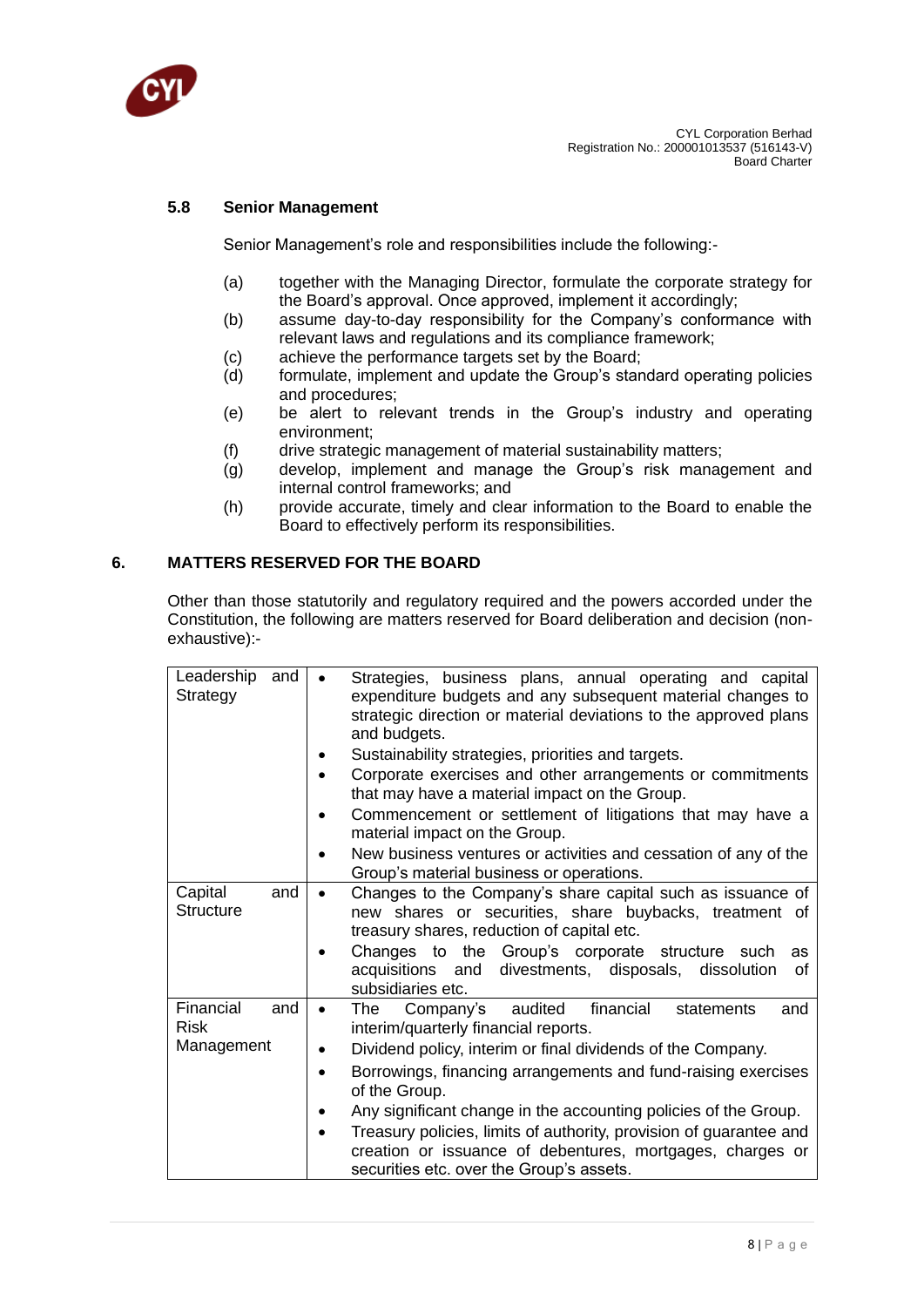

## **5.8 Senior Management**

Senior Management's role and responsibilities include the following:-

- (a) together with the Managing Director, formulate the corporate strategy for the Board's approval. Once approved, implement it accordingly;
- (b) assume day-to-day responsibility for the Company's conformance with relevant laws and regulations and its compliance framework;
- (c) achieve the performance targets set by the Board;
- (d) formulate, implement and update the Group's standard operating policies and procedures;
- (e) be alert to relevant trends in the Group's industry and operating environment;
- (f) drive strategic management of material sustainability matters;
- (g) develop, implement and manage the Group's risk management and internal control frameworks; and
- (h) provide accurate, timely and clear information to the Board to enable the Board to effectively perform its responsibilities.

### **6. MATTERS RESERVED FOR THE BOARD**

Other than those statutorily and regulatory required and the powers accorded under the Constitution, the following are matters reserved for Board deliberation and decision (nonexhaustive):-

| Leadership<br>Strategy                 | and<br>$\bullet$                           | Strategies, business plans, annual operating and capital<br>expenditure budgets and any subsequent material changes to<br>strategic direction or material deviations to the approved plans<br>and budgets.<br>Sustainability strategies, priorities and targets.<br>Corporate exercises and other arrangements or commitments<br>that may have a material impact on the Group.<br>Commencement or settlement of litigations that may have a<br>material impact on the Group.<br>New business ventures or activities and cessation of any of the<br>Group's material business or operations. |
|----------------------------------------|--------------------------------------------|---------------------------------------------------------------------------------------------------------------------------------------------------------------------------------------------------------------------------------------------------------------------------------------------------------------------------------------------------------------------------------------------------------------------------------------------------------------------------------------------------------------------------------------------------------------------------------------------|
| Capital<br><b>Structure</b>            | and<br>$\bullet$                           | Changes to the Company's share capital such as issuance of<br>new shares or securities, share buybacks, treatment of<br>treasury shares, reduction of capital etc.<br>Changes to the Group's corporate structure such<br>as<br>acquisitions and divestments, disposals, dissolution<br>οf<br>subsidiaries etc.                                                                                                                                                                                                                                                                              |
| Financial<br><b>Risk</b><br>Management | and<br>$\bullet$<br>$\bullet$<br>$\bullet$ | financial<br>The Company's audited<br>statements<br>and<br>interim/quarterly financial reports.<br>Dividend policy, interim or final dividends of the Company.<br>Borrowings, financing arrangements and fund-raising exercises<br>of the Group.<br>Any significant change in the accounting policies of the Group.<br>Treasury policies, limits of authority, provision of guarantee and<br>creation or issuance of debentures, mortgages, charges or<br>securities etc. over the Group's assets.                                                                                          |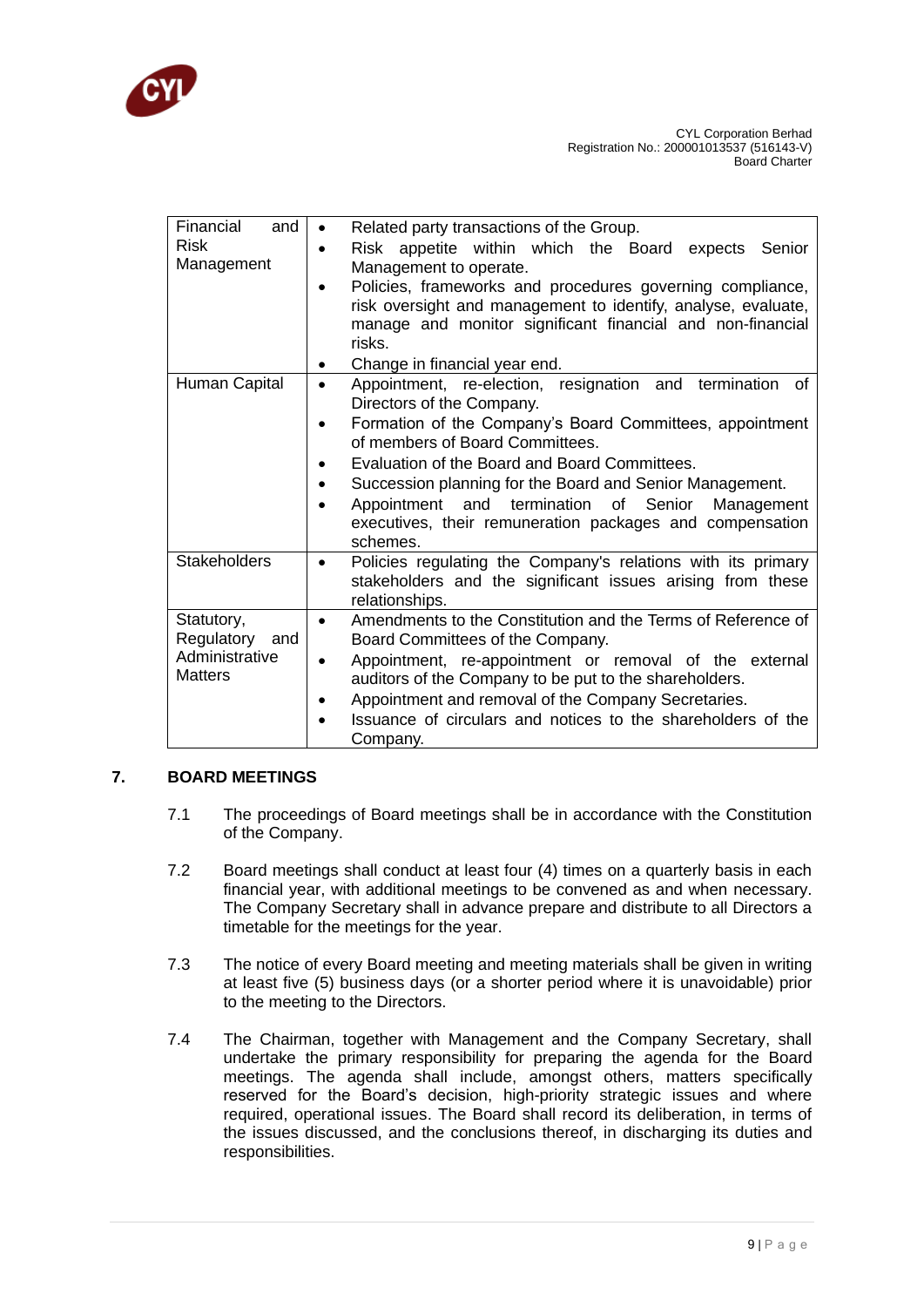

| Financial<br>and    | Related party transactions of the Group.<br>$\bullet$                                                                                                     |
|---------------------|-----------------------------------------------------------------------------------------------------------------------------------------------------------|
| <b>Risk</b>         | Risk appetite within which the Board expects Senior<br>$\bullet$                                                                                          |
| Management          | Management to operate.                                                                                                                                    |
|                     | Policies, frameworks and procedures governing compliance,                                                                                                 |
|                     | risk oversight and management to identify, analyse, evaluate,                                                                                             |
|                     | manage and monitor significant financial and non-financial                                                                                                |
|                     | risks.                                                                                                                                                    |
|                     | Change in financial year end.                                                                                                                             |
| Human Capital       | Appointment, re-election, resignation and termination<br>of<br>$\bullet$<br>Directors of the Company.                                                     |
|                     | Formation of the Company's Board Committees, appointment<br>of members of Board Committees.                                                               |
|                     | Evaluation of the Board and Board Committees.<br>$\bullet$                                                                                                |
|                     | Succession planning for the Board and Senior Management.                                                                                                  |
|                     | and<br>termination of Senior<br>Appointment<br>Management                                                                                                 |
|                     | executives, their remuneration packages and compensation<br>schemes.                                                                                      |
| <b>Stakeholders</b> | Policies regulating the Company's relations with its primary<br>$\bullet$<br>stakeholders and the significant issues arising from these<br>relationships. |
| Statutory,          | Amendments to the Constitution and the Terms of Reference of<br>$\bullet$                                                                                 |
| Regulatory and      | Board Committees of the Company.                                                                                                                          |
| Administrative      | Appointment, re-appointment or removal of the external                                                                                                    |
| <b>Matters</b>      | auditors of the Company to be put to the shareholders.                                                                                                    |
|                     | Appointment and removal of the Company Secretaries.                                                                                                       |
|                     | Issuance of circulars and notices to the shareholders of the                                                                                              |
|                     | Company.                                                                                                                                                  |

# **7. BOARD MEETINGS**

- 7.1 The proceedings of Board meetings shall be in accordance with the Constitution of the Company.
- 7.2 Board meetings shall conduct at least four (4) times on a quarterly basis in each financial year, with additional meetings to be convened as and when necessary. The Company Secretary shall in advance prepare and distribute to all Directors a timetable for the meetings for the year.
- 7.3 The notice of every Board meeting and meeting materials shall be given in writing at least five (5) business days (or a shorter period where it is unavoidable) prior to the meeting to the Directors.
- 7.4 The Chairman, together with Management and the Company Secretary, shall undertake the primary responsibility for preparing the agenda for the Board meetings. The agenda shall include, amongst others, matters specifically reserved for the Board's decision, high-priority strategic issues and where required, operational issues. The Board shall record its deliberation, in terms of the issues discussed, and the conclusions thereof, in discharging its duties and responsibilities.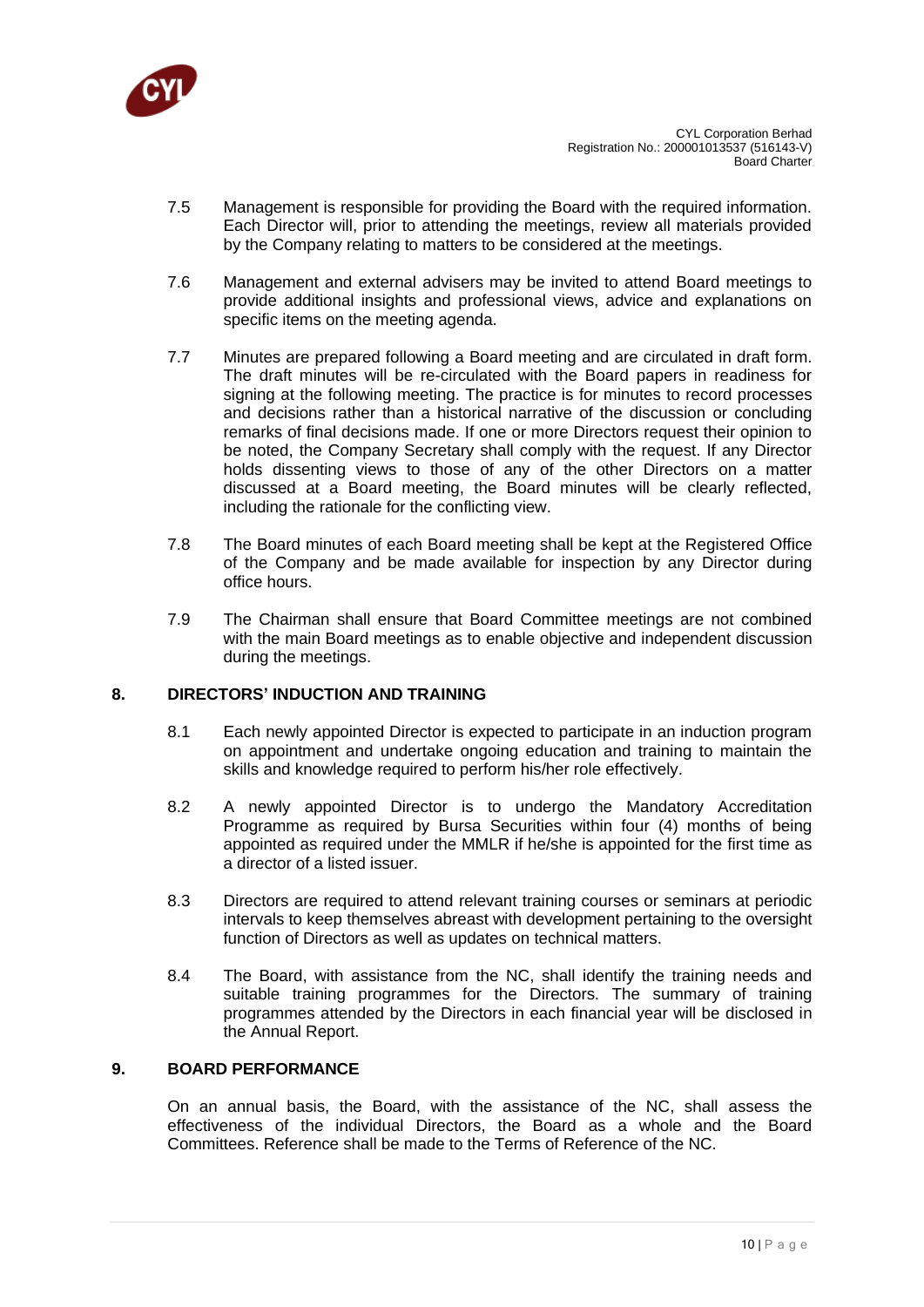

- 7.5 Management is responsible for providing the Board with the required information. Each Director will, prior to attending the meetings, review all materials provided by the Company relating to matters to be considered at the meetings.
- 7.6 Management and external advisers may be invited to attend Board meetings to provide additional insights and professional views, advice and explanations on specific items on the meeting agenda.
- 7.7 Minutes are prepared following a Board meeting and are circulated in draft form. The draft minutes will be re-circulated with the Board papers in readiness for signing at the following meeting. The practice is for minutes to record processes and decisions rather than a historical narrative of the discussion or concluding remarks of final decisions made. If one or more Directors request their opinion to be noted, the Company Secretary shall comply with the request. If any Director holds dissenting views to those of any of the other Directors on a matter discussed at a Board meeting, the Board minutes will be clearly reflected, including the rationale for the conflicting view.
- 7.8 The Board minutes of each Board meeting shall be kept at the Registered Office of the Company and be made available for inspection by any Director during office hours.
- 7.9 The Chairman shall ensure that Board Committee meetings are not combined with the main Board meetings as to enable objective and independent discussion during the meetings.

### **8. DIRECTORS' INDUCTION AND TRAINING**

- 8.1 Each newly appointed Director is expected to participate in an induction program on appointment and undertake ongoing education and training to maintain the skills and knowledge required to perform his/her role effectively.
- 8.2 A newly appointed Director is to undergo the Mandatory Accreditation Programme as required by Bursa Securities within four (4) months of being appointed as required under the MMLR if he/she is appointed for the first time as a director of a listed issuer.
- 8.3 Directors are required to attend relevant training courses or seminars at periodic intervals to keep themselves abreast with development pertaining to the oversight function of Directors as well as updates on technical matters.
- 8.4 The Board, with assistance from the NC, shall identify the training needs and suitable training programmes for the Directors. The summary of training programmes attended by the Directors in each financial year will be disclosed in the Annual Report.

# **9. BOARD PERFORMANCE**

On an annual basis, the Board, with the assistance of the NC, shall assess the effectiveness of the individual Directors, the Board as a whole and the Board Committees. Reference shall be made to the Terms of Reference of the NC.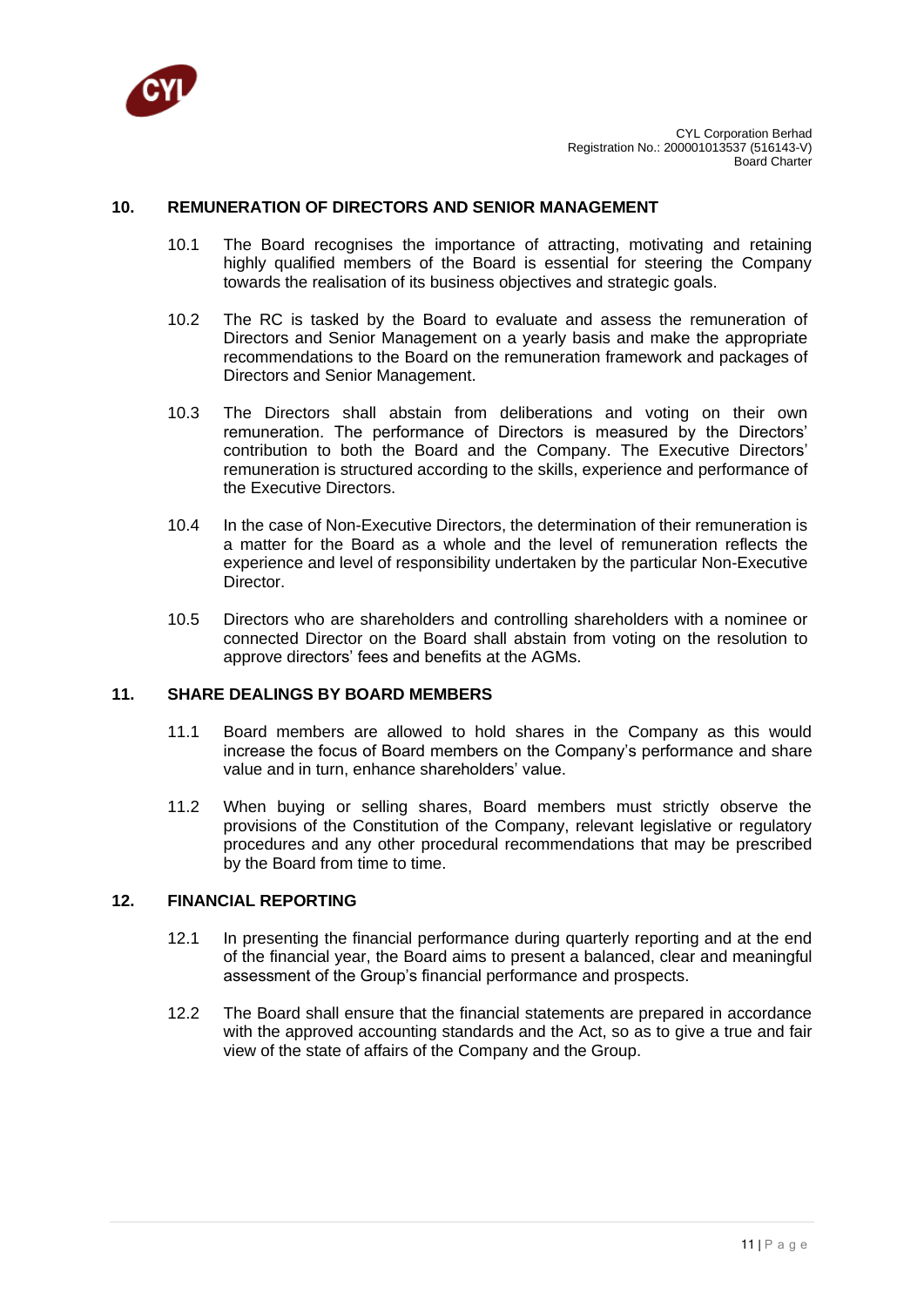

#### **10. REMUNERATION OF DIRECTORS AND SENIOR MANAGEMENT**

- 10.1 The Board recognises the importance of attracting, motivating and retaining highly qualified members of the Board is essential for steering the Company towards the realisation of its business objectives and strategic goals.
- 10.2 The RC is tasked by the Board to evaluate and assess the remuneration of Directors and Senior Management on a yearly basis and make the appropriate recommendations to the Board on the remuneration framework and packages of Directors and Senior Management.
- 10.3 The Directors shall abstain from deliberations and voting on their own remuneration. The performance of Directors is measured by the Directors' contribution to both the Board and the Company. The Executive Directors' remuneration is structured according to the skills, experience and performance of the Executive Directors.
- 10.4 In the case of Non-Executive Directors, the determination of their remuneration is a matter for the Board as a whole and the level of remuneration reflects the experience and level of responsibility undertaken by the particular Non-Executive Director.
- 10.5 Directors who are shareholders and controlling shareholders with a nominee or connected Director on the Board shall abstain from voting on the resolution to approve directors' fees and benefits at the AGMs.

#### **11. SHARE DEALINGS BY BOARD MEMBERS**

- 11.1 Board members are allowed to hold shares in the Company as this would increase the focus of Board members on the Company's performance and share value and in turn, enhance shareholders' value.
- 11.2 When buying or selling shares, Board members must strictly observe the provisions of the Constitution of the Company, relevant legislative or regulatory procedures and any other procedural recommendations that may be prescribed by the Board from time to time.

### **12. FINANCIAL REPORTING**

- 12.1 In presenting the financial performance during quarterly reporting and at the end of the financial year, the Board aims to present a balanced, clear and meaningful assessment of the Group's financial performance and prospects.
- 12.2 The Board shall ensure that the financial statements are prepared in accordance with the approved accounting standards and the Act, so as to give a true and fair view of the state of affairs of the Company and the Group.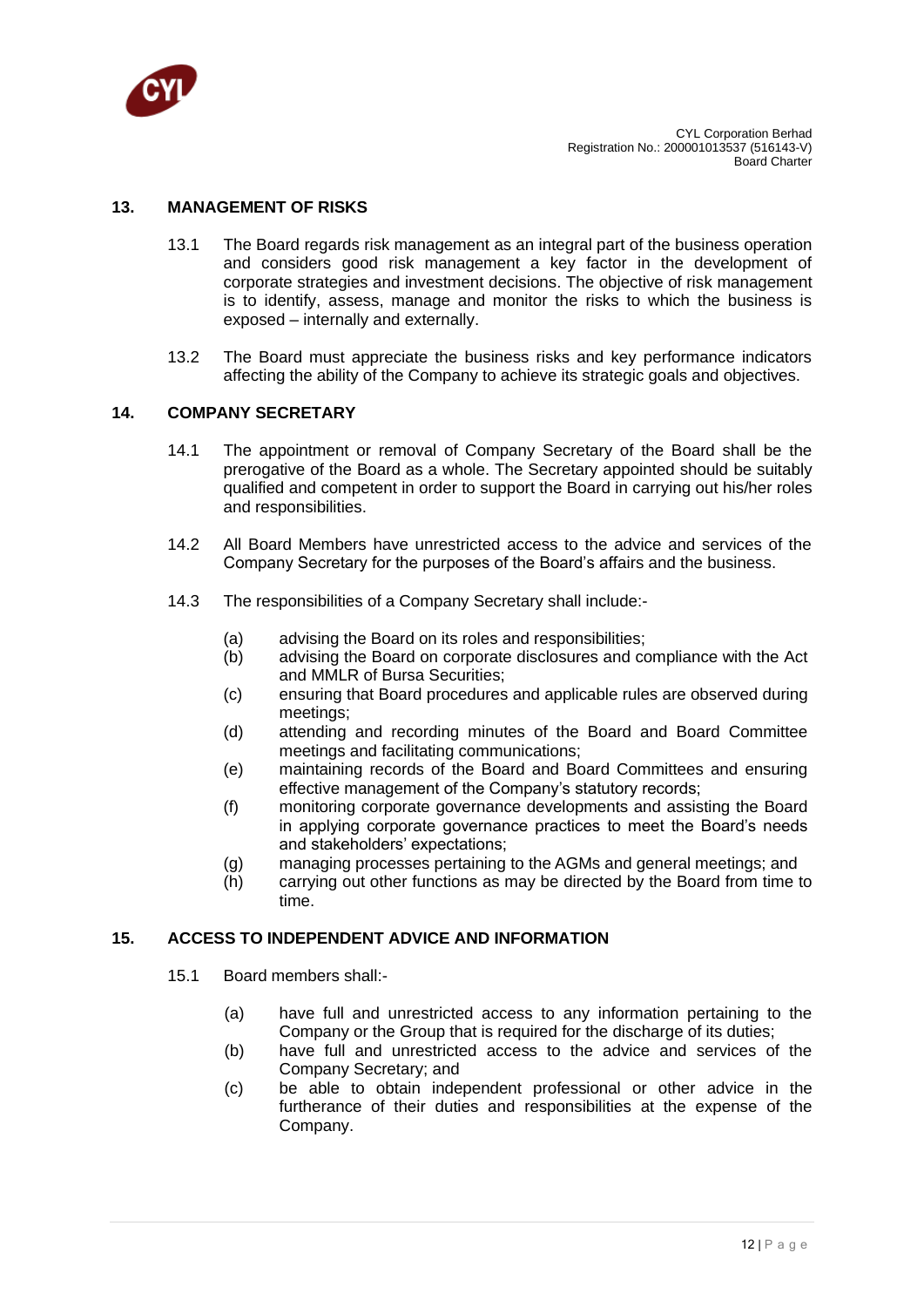

#### **13. MANAGEMENT OF RISKS**

- 13.1 The Board regards risk management as an integral part of the business operation and considers good risk management a key factor in the development of corporate strategies and investment decisions. The objective of risk management is to identify, assess, manage and monitor the risks to which the business is exposed – internally and externally.
- 13.2 The Board must appreciate the business risks and key performance indicators affecting the ability of the Company to achieve its strategic goals and objectives.

#### **14. COMPANY SECRETARY**

- 14.1 The appointment or removal of Company Secretary of the Board shall be the prerogative of the Board as a whole. The Secretary appointed should be suitably qualified and competent in order to support the Board in carrying out his/her roles and responsibilities.
- 14.2 All Board Members have unrestricted access to the advice and services of the Company Secretary for the purposes of the Board's affairs and the business.
- 14.3 The responsibilities of a Company Secretary shall include:-
	- (a) advising the Board on its roles and responsibilities;
	- (b) advising the Board on corporate disclosures and compliance with the Act and MMLR of Bursa Securities;
	- (c) ensuring that Board procedures and applicable rules are observed during meetings;
	- (d) attending and recording minutes of the Board and Board Committee meetings and facilitating communications;
	- (e) maintaining records of the Board and Board Committees and ensuring effective management of the Company's statutory records;
	- (f) monitoring corporate governance developments and assisting the Board in applying corporate governance practices to meet the Board's needs and stakeholders' expectations;
	- (g) managing processes pertaining to the AGMs and general meetings; and
	- (h) carrying out other functions as may be directed by the Board from time to time.

# **15. ACCESS TO INDEPENDENT ADVICE AND INFORMATION**

- 15.1 Board members shall:-
	- (a) have full and unrestricted access to any information pertaining to the Company or the Group that is required for the discharge of its duties;
	- (b) have full and unrestricted access to the advice and services of the Company Secretary; and
	- (c) be able to obtain independent professional or other advice in the furtherance of their duties and responsibilities at the expense of the Company.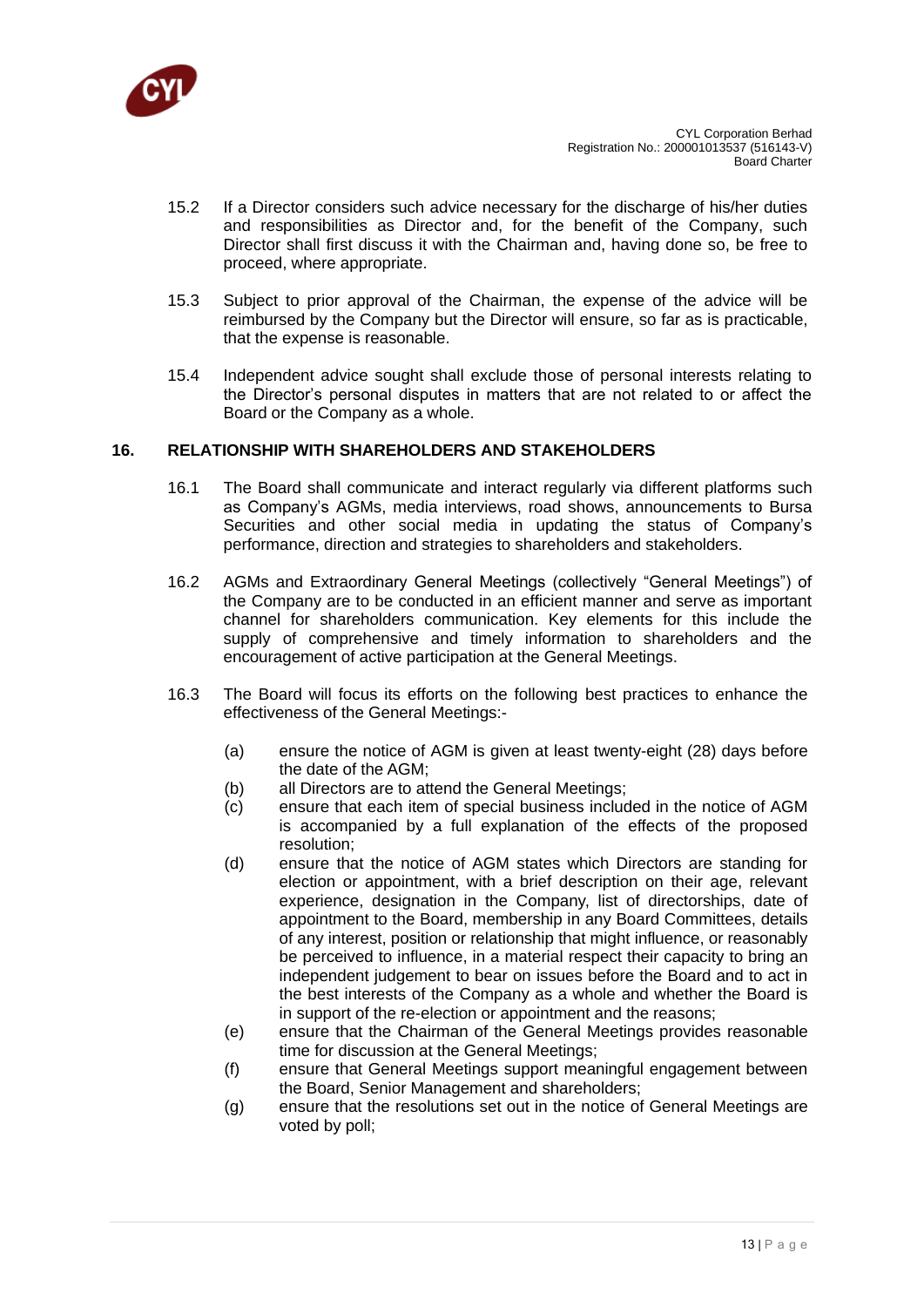

- 15.2 If a Director considers such advice necessary for the discharge of his/her duties and responsibilities as Director and, for the benefit of the Company, such Director shall first discuss it with the Chairman and, having done so, be free to proceed, where appropriate.
- 15.3 Subject to prior approval of the Chairman, the expense of the advice will be reimbursed by the Company but the Director will ensure, so far as is practicable, that the expense is reasonable.
- 15.4 Independent advice sought shall exclude those of personal interests relating to the Director's personal disputes in matters that are not related to or affect the Board or the Company as a whole.

### **16. RELATIONSHIP WITH SHAREHOLDERS AND STAKEHOLDERS**

- 16.1 The Board shall communicate and interact regularly via different platforms such as Company's AGMs, media interviews, road shows, announcements to Bursa Securities and other social media in updating the status of Company's performance, direction and strategies to shareholders and stakeholders.
- 16.2 AGMs and Extraordinary General Meetings (collectively "General Meetings") of the Company are to be conducted in an efficient manner and serve as important channel for shareholders communication. Key elements for this include the supply of comprehensive and timely information to shareholders and the encouragement of active participation at the General Meetings.
- 16.3 The Board will focus its efforts on the following best practices to enhance the effectiveness of the General Meetings:-
	- (a) ensure the notice of AGM is given at least twenty-eight (28) days before the date of the AGM;
	- (b) all Directors are to attend the General Meetings;
	- (c) ensure that each item of special business included in the notice of AGM is accompanied by a full explanation of the effects of the proposed resolution;
	- (d) ensure that the notice of AGM states which Directors are standing for election or appointment, with a brief description on their age, relevant experience, designation in the Company, list of directorships, date of appointment to the Board, membership in any Board Committees, details of any interest, position or relationship that might influence, or reasonably be perceived to influence, in a material respect their capacity to bring an independent judgement to bear on issues before the Board and to act in the best interests of the Company as a whole and whether the Board is in support of the re-election or appointment and the reasons;
	- (e) ensure that the Chairman of the General Meetings provides reasonable time for discussion at the General Meetings;
	- (f) ensure that General Meetings support meaningful engagement between the Board, Senior Management and shareholders;
	- (g) ensure that the resolutions set out in the notice of General Meetings are voted by poll;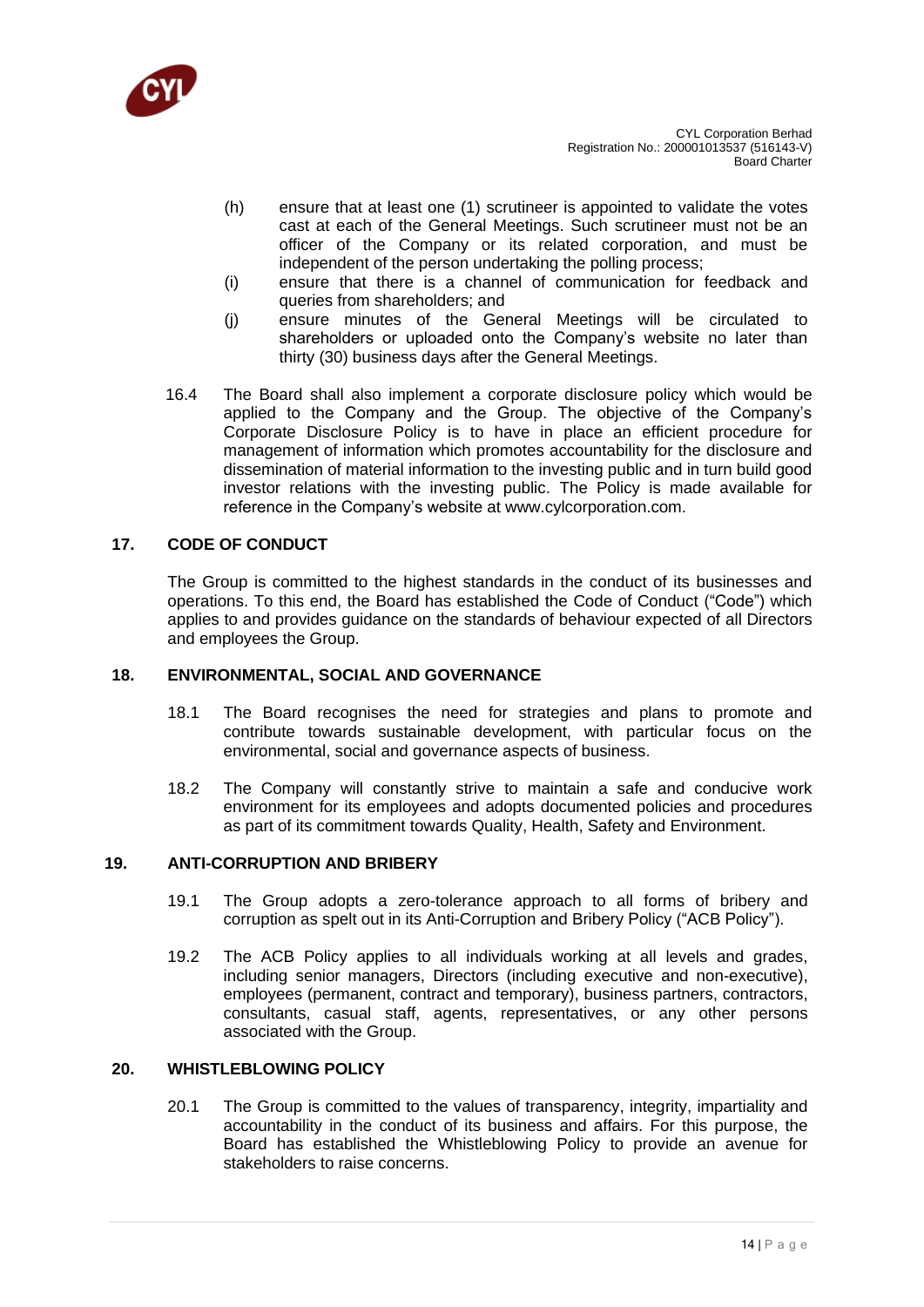

- (h) ensure that at least one (1) scrutineer is appointed to validate the votes cast at each of the General Meetings. Such scrutineer must not be an officer of the Company or its related corporation, and must be independent of the person undertaking the polling process;
- (i) ensure that there is a channel of communication for feedback and queries from shareholders; and
- (j) ensure minutes of the General Meetings will be circulated to shareholders or uploaded onto the Company's website no later than thirty (30) business days after the General Meetings.
- 16.4 The Board shall also implement a corporate disclosure policy which would be applied to the Company and the Group. The objective of the Company's Corporate Disclosure Policy is to have in place an efficient procedure for management of information which promotes accountability for the disclosure and dissemination of material information to the investing public and in turn build good investor relations with the investing public. The Policy is made available for reference in the Company's website at www.cylcorporation.com.

### **17. CODE OF CONDUCT**

The Group is committed to the highest standards in the conduct of its businesses and operations. To this end, the Board has established the Code of Conduct ("Code") which applies to and provides guidance on the standards of behaviour expected of all Directors and employees the Group.

### **18. ENVIRONMENTAL, SOCIAL AND GOVERNANCE**

- 18.1 The Board recognises the need for strategies and plans to promote and contribute towards sustainable development, with particular focus on the environmental, social and governance aspects of business.
- 18.2 The Company will constantly strive to maintain a safe and conducive work environment for its employees and adopts documented policies and procedures as part of its commitment towards Quality, Health, Safety and Environment.

### **19. ANTI-CORRUPTION AND BRIBERY**

- 19.1 The Group adopts a zero-tolerance approach to all forms of bribery and corruption as spelt out in its Anti-Corruption and Bribery Policy ("ACB Policy").
- 19.2 The ACB Policy applies to all individuals working at all levels and grades, including senior managers, Directors (including executive and non-executive), employees (permanent, contract and temporary), business partners, contractors, consultants, casual staff, agents, representatives, or any other persons associated with the Group.

#### **20. WHISTLEBLOWING POLICY**

20.1 The Group is committed to the values of transparency, integrity, impartiality and accountability in the conduct of its business and affairs. For this purpose, the Board has established the Whistleblowing Policy to provide an avenue for stakeholders to raise concerns.